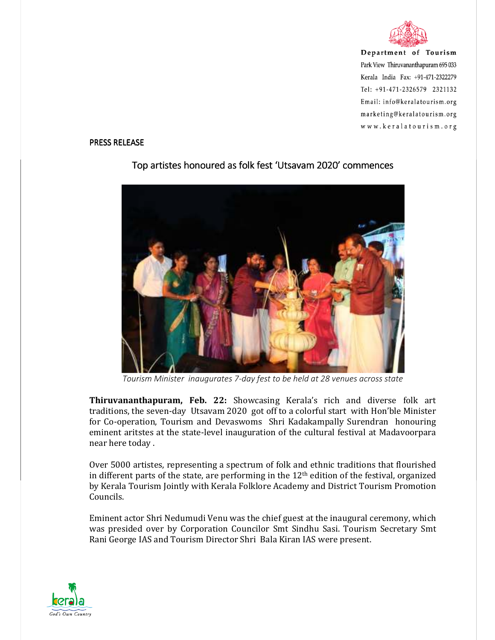

Department of Tourism Park View Thiruvananthapuram 695 033 Kerala India Fax: +91-471-2322279 Tel: +91-471-2326579 2321132 Email: info@keralatourism.org marketing@keralatourism.org www.keralatourism.org

## PRESS RELEASE



## Top artistes honoured as folk fest 'Utsavam 2020' commences

*Tourism Minister inaugurates 7-day fest to be held at 28 venues across state* 

**Thiruvananthapuram, Feb. 22:** Showcasing Kerala's rich and diverse folk art traditions, the seven-day Utsavam 2020 got off to a colorful start with Hon'ble Minister for Co-operation, Tourism and Devaswoms Shri Kadakampally Surendran honouring eminent aritstes at the state-level inauguration of the cultural festival at Madavoorpara near here today .

Over 5000 artistes, representing a spectrum of folk and ethnic traditions that flourished in different parts of the state, are performing in the  $12<sup>th</sup>$  edition of the festival, organized by Kerala Tourism Jointly with Kerala Folklore Academy and District Tourism Promotion Councils.

Eminent actor Shri Nedumudi Venu was the chief guest at the inaugural ceremony, which was presided over by Corporation Councilor Smt Sindhu Sasi. Tourism Secretary Smt Rani George IAS and Tourism Director Shri Bala Kiran IAS were present.